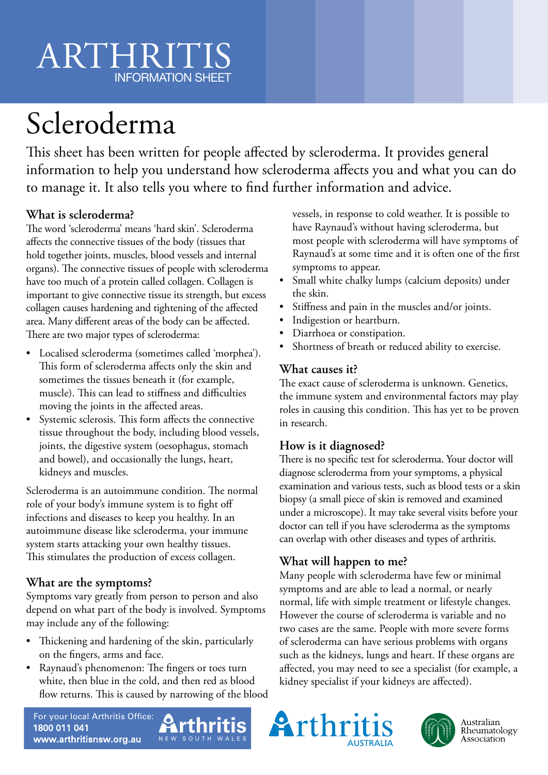# ARTHRITIS INFORMATION SHEET

# Scleroderma

This sheet has been written for people affected by scleroderma. It provides general information to help you understand how scleroderma affects you and what you can do to manage it. It also tells you where to find further information and advice.

### **What is scleroderma?**

The word 'scleroderma' means 'hard skin'. Scleroderma affects the connective tissues of the body (tissues that hold together joints, muscles, blood vessels and internal organs). The connective tissues of people with scleroderma have too much of a protein called collagen. Collagen is important to give connective tissue its strength, but excess collagen causes hardening and tightening of the affected area. Many different areas of the body can be affected. There are two major types of scleroderma:

- Localised scleroderma (sometimes called 'morphea'). This form of scleroderma affects only the skin and sometimes the tissues beneath it (for example, muscle). This can lead to stiffness and difficulties moving the joints in the affected areas.
- Systemic sclerosis. This form affects the connective tissue throughout the body, including blood vessels, joints, the digestive system (oesophagus, stomach and bowel), and occasionally the lungs, heart, kidneys and muscles.

Scleroderma is an autoimmune condition. The normal role of your body's immune system is to fight off infections and diseases to keep you healthy. In an autoimmune disease like scleroderma, your immune system starts attacking your own healthy tissues. This stimulates the production of excess collagen.

# **What are the symptoms?**

Symptoms vary greatly from person to person and also depend on what part of the body is involved. Symptoms may include any of the following:

- Thickening and hardening of the skin, particularly on the fingers, arms and face.
- Raynaud's phenomenon: The fingers or toes turn white, then blue in the cold, and then red as blood flow returns. This is caused by narrowing of the blood

vessels, in response to cold weather. It is possible to have Raynaud's without having scleroderma, but most people with scleroderma will have symptoms of Raynaud's at some time and it is often one of the first symptoms to appear.

- Small white chalky lumps (calcium deposits) under the skin.
- Stiffness and pain in the muscles and/or joints.
- Indigestion or heartburn.
- Diarrhoea or constipation.
- Shortness of breath or reduced ability to exercise.

### **What causes it?**

The exact cause of scleroderma is unknown. Genetics, the immune system and environmental factors may play roles in causing this condition. This has yet to be proven in research.

# **How is it diagnosed?**

There is no specific test for scleroderma. Your doctor will diagnose scleroderma from your symptoms, a physical examination and various tests, such as blood tests or a skin biopsy (a small piece of skin is removed and examined under a microscope). It may take several visits before your doctor can tell if you have scleroderma as the symptoms can overlap with other diseases and types of arthritis.

# **What will happen to me?**

Many people with scleroderma have few or minimal symptoms and are able to lead a normal, or nearly normal, life with simple treatment or lifestyle changes. However the course of scleroderma is variable and no two cases are the same. People with more severe forms of scleroderma can have serious problems with organs such as the kidneys, lungs and heart. If these organs are affected, you may need to see a specialist (for example, a kidney specialist if your kidneys are affected).









Australian<br>Rheumatology Association